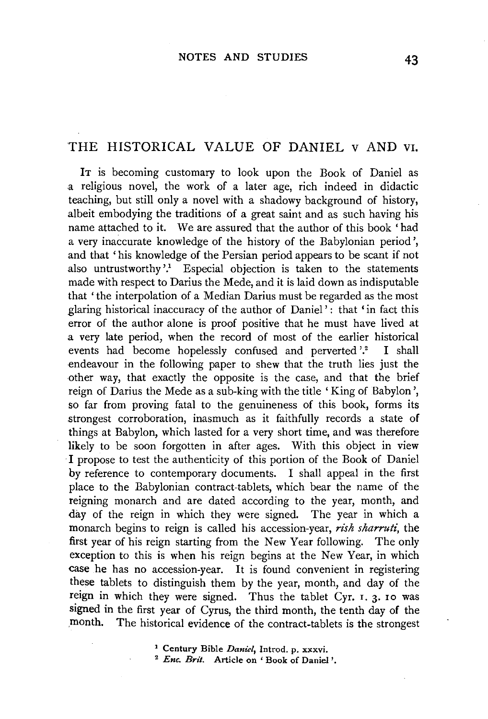## THE HISTORICAL VALUE OF DANIEL v AND VI.

IT is becoming customary to look upon the Book of Daniel as a religious novel, the work of a later age, rich indeed in didactic teaching, but still only a novel with a shadowy background of history, albeit embodying the traditions of a great saint and as such having his name attached to it. We are assured that the author of this book 'had a very inaccurate knowledge of the history of the Babylonian period', and that ' his knowledge of the Persian period appears to be scant if not also untrustworthy'.<sup>1</sup> Especial objection is taken to the statements made with respect to Darius the Mede, and it is laid down as indisputable that ' the interpolation of a Median Darius must be regarded as the most glaring historical inaccuracy of the author of Daniel' : that 'in fact this error of the author alone is proof positive that he must have lived at a very late period, when the record of most of the earlier historical events had become hopelessly confused and perverted '.2 I shall endeavour in the following paper to shew that the truth lies just the other way, that exactly the opposite is the case, and that the brief reign of Darius the Mede as a sub-king with the title 'King of Babylon', so far from proving fatal to the genuineness of this book, forms its strongest corroboration, inasmuch as it faithfully records a state of things at Babylon, which lasted for a very short time, and was therefore likely to be soon forgotten in after ages. With this object in view I propose to test the authenticity of this portion of the Book of Daniel by reference to contemporary documents. I shall appeal in the first place to the Babylonian contract-tablets, which bear the name of the reigning monarch and are dated according to the year, month, and day of the reign in which they were signed. The year in which a monarch begins to reign is called his accession-year, *rish sharruti*, the first year of his reign starting from the New Year following. The only exception to this is when his reign begins at the New Year, in which case he has no accession-year. It is found convenient in registering these tablets to distinguish them by the year, month, and day of the reign in which they were signed. Thus the tablet Cyr. r. 3. ro was signed in the first year of Cyrus, the third month, the tenth day of the ,month. The historical evidence of the contract-tablets is the strongest

<sup>1</sup>Century Bible *Daniel,* Introd. p. xxxvi. 2 *Enc. Brit.* Article on ' Book of Daniel '.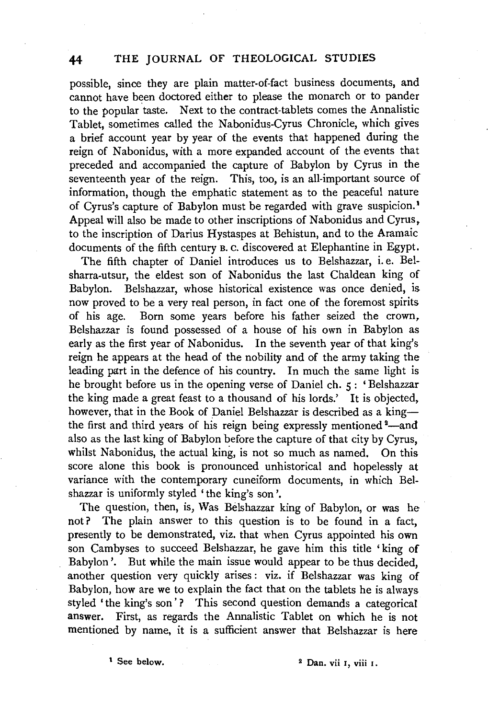possible, since they are plain matter-of-fact business documents, and cannot have been doctored either to please the monarch or to pander to the popular taste. Next to the contract-tablets comes the Annalistic Tablet, sometimes called the Nabonidus-Cyrus Chronicle, which gives a brief account year by year of the events that happened during the reign of Nabonidus, with a more expanded account of the events that preceded and accompanied the capture of Babylon by Cyrus in the seventeenth year of the reign. This, too, is an all-important source of information, though the emphatic statement as to the peaceful nature of Cyrus's capture of Babylon must be regarded with grave suspicion. 1 Appeal will also be made to other inscriptions of Nabonidus and Cyrus, to the inscription of Darius Hystaspes at Behistun, and to the Aramaic documents of the fifth century B. c. discovered at Elephantine in Egypt.

The fifth chapter of Daniel introduces us to Belshazzar, i. e. Belsharra-utsur, the eldest son of Nabonidus the last Chaldean king of Babylon. Belshazzar, whose historical existence was once denied, is now proved to be a very real person, in fact one of the foremost spirits of his age. Born some years before his father seized the crown, Belshazzar is found possessed of a house of his own in Babylon as early as the first year of Nabonidus. In the seventh year of that king's reign he appears at the head of the nobility and of the army taking the leading part in the defence of his country. In much the same light is he brought before us in the opening verse of Daniel eh. 5 : ' Belshazzar the king made a great feast to a thousand of his lords.' It is objected, however, that in the Book of Daniel Belshazzar is described as a kinghe first and third years of his reign being expressly mentioned<sup>2</sup>—and also as the last king of Babylon before the capture of that city by Cyrus, whilst Nabonidus, the actual king, is not so much as named. On this score alone this book is pronounced unhistorical and hopelessly at variance with the contemporary cuneiform documents, in which Belshazzar is uniformly styled 'the king's son'.

The question, then, is, Was Belshazzar king of Babylon, or was he not? The plain answer to this question is to be found in a fact, presently to be demonstrated, viz. that when Cyrus appointed his own son Cambyses to succeed Belshazzar, he gave him this title 'king of Babylon'. But while the main issue would appear to be thus decided, another question very quickly arises : viz. if Belshazzar was king of Babylon, how are we to explain the fact that on the tablets he is always styled 'the king's son'? This second question demands a categorical answer. First, as regards the Annalistic Tablet on which he is not mentioned by name, it is a sufficient answer that Belshazzar is here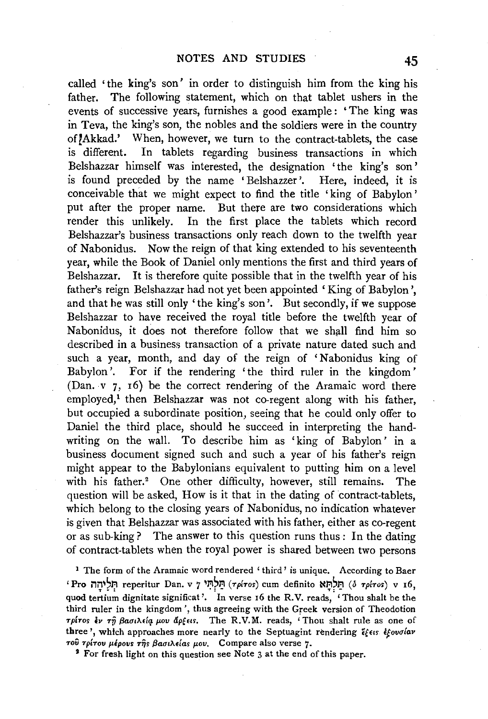called 'the king's son' in order to distinguish him from the king his father. The following statement, which on that tablet ushers in the events of successive years, furnishes a good example : 'The king was in Teva, the king's son, the nobles and the soldiers were in the country of!Akkad.' When, however, we turn to the contract-tablets, the case is different. In tablets regarding business transactions in which Belshazzar himself was interested, the designation 'the king's son' is found preceded by the name 'Belshazzer '. Here, indeed, it is conceivable that we might expect to find the title 'king of Babylon' put after the proper name. But there are two considerations which render this unlikely. In the first place the tablets which record Belshazzar's business transactions only reach down to the twelfth year of Nabonidus. Now the reign of that king extended to his seventeenth year, while the Book of Daniel only mentions the first and third years of Belshazzar. It is therefore quite possible that in the twelfth year of his father's reign Belshazzar had not yet been appointed 'King of Babylon', and that he was still only 'the king's son'. But secondly, if we suppose Belshazzar to have received the royal title before the twelfth year of Nabonidus, it does not therefore follow that we shall find him so described in a business transaction of a private nature dated such and such a year, month, and day of the reign of 'Nabonidus king of Babylon'. For if the rendering 'the third ruler in the kingdom' (Dan. v 7, 16) be the correct rendering of the Aramaic word there employed,<sup>1</sup> then Belshazzar was not co-regent along with his father, but occupied a subordinate position, seeing that he could only offer to Daniel the third place, should he succeed in interpreting the handwriting on the wall. To describe him as 'king of Babylon' in a business document signed such and such a year of his father's reign might appear to the Babylonians equivalent to putting him on a level with his father.<sup>2</sup> One other difficulty, however, still remains. The question will be asked, How is it that in the dating of contract-tablets, which belong to the closing years of Nabonidus, no indication whatever is given that Belshazzar was associated with his father, either as co-regent or as sub-king? The answer to this question runs thus: In the dating of contract-tablets when the royal power is shared between two persons

<sup>1</sup> The form of the Aramaic word rendered 'third' is unique. According to Baer 'Pro חַלְיָהוּ reperitur Dan. v תְלְתִּי (Tpiros) cum definito (6 Tpiros) v 16, quod tertium dignitate significat'. In verse 16 the R.V. reads, 'Thou shalt be the third ruler in the kingdom ', thus agreeing with the Greek version of Theodotion  $\tau$ *p*( $\tau$ os  $\dot{\epsilon}$ ν  $\tau_{\eta}$  βασιλεία μου ἄρξεις. The R.V.M. reads, 'Thou shalt rule as one of three<sup>7</sup>, which approaches more nearly to the Septuagint rendering  $\frac{1}{2}$ *(eus <i>itovalav*) *TOU TP4TOV μέρουs της βασιλείας μov.* Compare also verse 7.<br><sup>2</sup> For fresh light on this question see Note 3 at the end of this paper.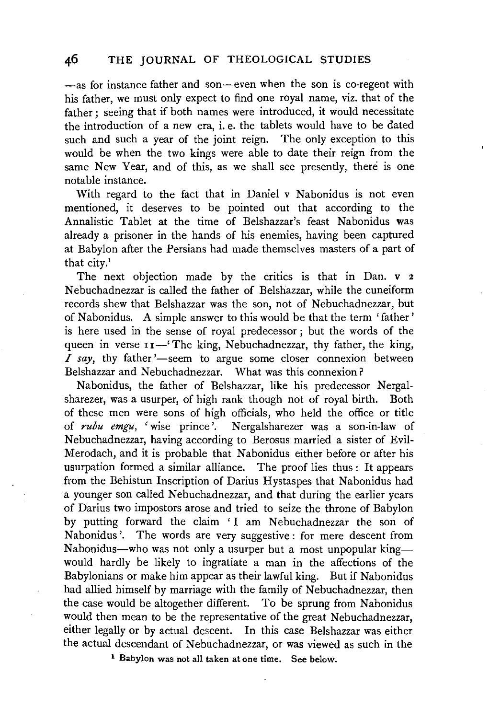-as for instance father and son-even when the son is co-regent with his father, we must only expect to find one royal name, viz. that of the father ; seeing that if both names were introduced, it would necessitate the introduction of a new era, i. e. the tablets would have to be dated such and such a year of the joint reign. The only exception to this would be when the two kings were able to date their reign from the same New Year, and of this, as we shall see presently, there is one notable instance.

With regard to the fact that in Daniel v Nabonidus is not even mentioned, it deserves to be pointed out that according to the Annalistic Tablet at the time of Belshazzar's feast Nabonidus was already a prisoner in the hands of his enemies, having been captured at Babylon after the Persians had made themselves masters of a part of that city.<sup>1</sup>

The next objection made by the critics is that in Dan. v 2 Nebuchadnezzar is called the father of Belshazzar, while the cuneiform records shew that Belshazzar was the son, not of Nebuchadnezzar, but of Nabonidus. A simple answer to this would be that the term 'father' is here used in the sense of royal predecessor ; but the words of the queen in verse  $I_1$ —' The king, Nebuchadnezzar, thy father, the king,  $\overline{I}$  *say*, thy father '-seem to argue some closer connexion between Belshazzar and Nebuchadnezzar. What was this connexion?

Nabonidus, the father of Belshazzar, like his predecessor Nergalsharezer, was a usurper, of high rank though not of royal birth. Both of these men were sons of high officials, who held the office or title of *rubu emgu*, 'wise prince'. Nergalsharezer was a son-in-law of Nebuchadnezzar, having according to Berosus married a sister of Evil-Merodach, and it is probable that Nabonidus either before or after his usurpation formed a similar alliance. The proof lies thus : It appears from the Behistun Inscription of Darius Hystaspes that Nabonidus had a younger son called Nebuchadnezzar, and that during the earlier years of Darius two impostors arose and tried to seize the throne of Babylon by putting forward the claim 'I am Nebuchadnezzar the son of Nabonidus '. The words are very suggestive: for mere descent from Nabonidus—who was not only a usurper but a most unpopular king would hardly be likely to ingratiate a man in the affections of the Babylonians or make him appear as their lawful king. But if Nabonidus had allied himself by marriage with the family of Nebuchadnezzar, then the case would be altogether different. To be sprung from Nabonidus would then mean to be the representative of the great Nebuchadnezzar, either legally or by actual descent. In this case Belshazzar was either the actual descendant of Nebuchadnezzar, or was viewed as such in the<br><sup>1</sup> Babylon was not all taken at one time. See below.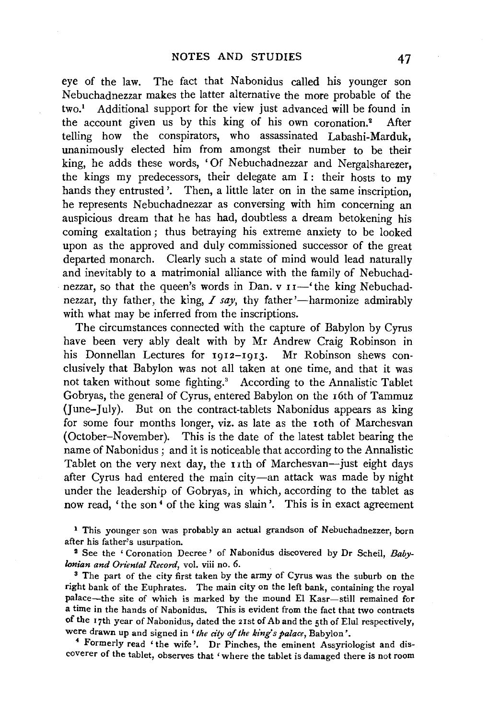eye of the law. The fact that Nabonidus called his younger son Nebuchadnezzar makes the latter alternative the more probable of the two.<sup>1</sup> Additional support for the view just advanced will be found in the account given us by this king of his own coronation.<sup>2</sup> After telling how the conspirators, who assassinated Labashi-Marduk, unanimously elected him from amongst their number to be their king, he adds these words, 'Of Nebuchadnezzar and Nergalsharezer, the kings my predecessors, their delegate am I : their hosts to my hands they entrusted'. Then, a little later on in the same inscription. he represents Nebuchadnezzar as conversing with him concerning an auspicious dream that he has had, doubtless a dream betokening his coming exaltation; thus betraying his extreme anxiety to be looked upon as the approved and duly commissioned successor of the great departed monarch. Clearly such a state of mind would lead naturally and inevitably to a matrimonial alliance with the family of Nebuchadnezzar, so that the queen's words in Dan.  $v_1 -$  the king Nebuchadnezzar, thy father, the king,  $I$  *say*, thy father'—harmonize admirably with what may be inferred from the inscriptions.

The circumstances connected with the capture of Babylon by Cyrus have been very ably dealt with by Mr Andrew Craig Robinson in his Donnellan Lectures for 1912-1913. Mr Robinson shews conclusively that Babylon was not all taken at one time, and that it was not taken without some fighting.<sup>3</sup> According to the Annalistic Tablet Gobryas, the general of Cyrus, entered Babylon on the 16th of Tammuz (June-July). But on the contract-tablets Nabonidus appears as king for some four months longer, viz. as late as the 10th of Marchesvan (October-November). This is the date of the latest tablet bearing the name of Nabonidus; and it is noticeable that according to the Annalistic Tablet on the very next day, the 11th of Marchesvan-just eight days after Cyrus had entered the main city-an attack was made by night under the leadership of Gobryas, in which, according to the tablet as now read, 'the son<sup>4</sup> of the king was slain'. This is in exact agreement

<sup>1</sup> This younger son was probably an actual grandson of Nebuchadnezzer, born after his father's usurpation.<br><sup>2</sup> See the 'Coronation Decree' of Nabonidus discovered by Dr Scheil, *Baby-*

*lonian and Oriental Record*, vol. viii no. 6.<br><sup>3</sup> The part of the city first taken by the army of Cyrus was the suburb on the

right bank of the Euphrates. The main city on the left bank, containing the royal palace-the site of which is marked by the mound El Kasr-still remained for a time in the hands of Nabonidus. This is evident from the fact that two contracts of the 17th year of Nabonidus, dated the 21st of Ab and the 5th of Elul respectively, were drawn up and signed in '*the city of the king's palace*, Babylon'.<br><sup>4</sup> Formerly read 'the wife'. Dr Pinches, the eminent Assyriologist and dis-

coverer of the tablet, observes that 'where the tablet is damaged there is not room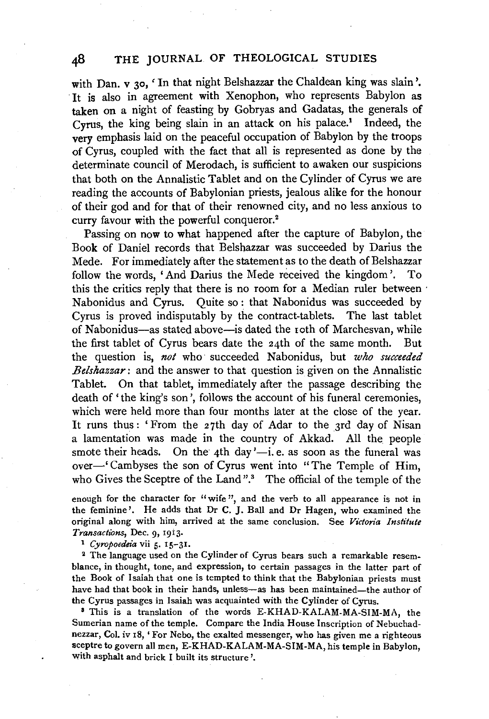### 48 THE JOURNAL OF THEOLOGICAL STUDIES

with Dan. v 30, 'In that night Belshazzar the Chaldean king was slain'. It is also in agreement with Xenophon, who represents Babylon as taken on a night of feasting by Gobryas and Gadatas, the generals of Cyrus, the king being slain in an attack on his palace.1 Indeed, the very emphasis laid on the peaceful occupation of Babylon by the troops of Cyrus, coupled with the fact that all is represented as done by the determinate council of Merodach, is sufficient to awaken our suspicions that both on the Annalistic Tablet and on the Cylinder of Cyrus we are reading the accounts of Babylonian priests, jealous alike for the honour of their god and for that of their renowned city, and no less anxious to curry favour with the powerful conqueror.<sup>2</sup>

Passing on now to what happened after the capture of Babylon, the Book of Daniel records that Belshazzar was succeeded by Darius the Mede. For immediately after the statement as to the death of Belshazzar follow the words, 'And Darius the Mede received the kingdom'. To this the critics reply that there is no room for a Median ruler between · Nabonidus and Cyrus. Quite so: that Nabonidus was succeeded by Cyrus is proved indisputably by the contract-tablets. The last tablet of Nabonidus-as stated above-is dated the roth of Marchesvan, while the first tablet of Cyrus bears date the 24th of the same month. But the question is, *not* who succeeded Nabonidus, but *who succeeded Belshazzar:* and the answer to that question is given on the Annalistic Tablet. On that tablet, immediately after the passage describing the death of 'the king's son', follows the account of his funeral ceremonies, which were held more than four months later at the close of the year. It runs thus: 'From the 27th day of Adar to the 3rd day of Nisan a lamentation was made in the country of Akkad. All the people smote their heads. On the 4th day'-i.e. as soon as the funeral was over-'Cambyses the son of Cyrus went into "The Temple of Him, who Gives the Sceptre of the Land".<sup>3</sup> The official of the temple of the

enough for the character for "wife", and the verb to all appearance is not in the feminine'. He adds that Dr C. J. Ball and Dr Hagen, who examined the original along with him, arrived at the same conclusion. See *Victoria Institute Transactions,* Dec. 9, 19i3.

<sup>1</sup> *Cyropoedeia* vii 5. 15-31.<br><sup>2</sup> The language used on the Cylinder of Cyrus bears such a remarkable resemblance, in thought, tone, and expression, to certain passages in the latter part of the Book of Isaiah that one is tempted to think that the Babylonian priests must have had that book in their hands, unless-as has been maintained-the author of the Cyrus passages in Isaiah was acquainted with the Cylinder of Cyrus.

• This is a translation of the words E-KHAD-KALAM-MA-SIM-MA, the Sumerian name of the temple. Compare the India House Inscription of Nebuchadnezzar, Col. iv 18, 'For Nebo, the exalted messenger, who has given me a righteous sceptre to govern all men, E-KHAD-KALAM-MA-SIM-MA, his temple in Babylon, with asphalt and brick I built its structure '.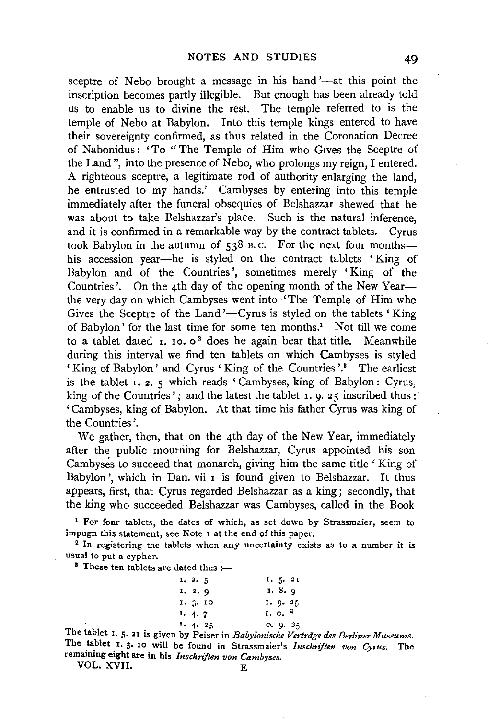sceptre of Nebo brought a message in his hand '-at this point the inscription becomes partly illegible. But enough has been already told us to enable us to divine the rest. The temple referred to is the temple of Nebo at Babylon. Into this temple kings entered to have their sovereignty confirmed, as thus related in the Coronation Decree of Nabonidus: 'To "The Temple of Him who Gives the Sceptre of the Land", into the presence of Nebo, who prolongs my reign, I entered. A righteous sceptre, a legitimate rod of authority enlarging the land, he entrusted to my hands.' Cambyses by entering into this temple immediately after the funeral obsequies of Belshazzar shewed that he was about to take Belshazzar's place. Such is the natural inference, and it is confirmed in a remarkable way by the contract-tablets. Cyrus took Babylon in the autumn of  $538$  B.C. For the next four monthshis accession year—he is styled on the contract tablets 'King of Babylon and of the Countries', sometimes merely 'King of the Countries'. On the 4th day of the opening month of the New Yearthe very day on which Cambyses went into 'The Temple of Him who Gives the Sceptre of the Land '-Cyrus is styled on the tablets 'King' of Babylon' for the last time for some ten months.1 Not till we come to a tablet dated  $\overline{1}$ . 10. o<sup>2</sup> does he again bear that title. Meanwhile during this interval we find ten tablets on which Cambyses is styled 'King of Babylon' and Cyrus 'King of the Countries '.8 The earliest is the tablet 1. 2. 5 which reads 'Cambyses, king of Babylon : Cyrus, king of the Countries'; and the latest the tablet 1. 9. 25 inscribed thus: 'Cambyses, king of Babylon. At that time his father Cyrus was king of the Countries'.

We gather, then, that on the 4th day of the New Year, immediately after the public mourning for Belshazzar, Cyrus appointed his son Cambyses to succeed that monarch, giving him the same title ' King of Babylon', which in Dan. vii I is found given to Belshazzar. It thus appears, first, that Cyrus regarded Belshazzar as a king; secondly, that the king who succeeded Belshazzar was Cambyses, called in the Book

<sup>1</sup> For four tablets, the dates of which, as set down by Strassmaier, seem to impugn this statement, see Note  $\bar{1}$  at the end of this paper.<br><sup>2</sup> In registering the tablets when any uncertainty exists as to a number it is

usual to put a cypher.<br><sup>3</sup> These ten tablets are dated thus :--

| I. 2. 5 |        | I. 5. 21 |
|---------|--------|----------|
| 1. 2. 9 |        | 1.8.9    |
|         | 1.3.10 | 1. 9. 25 |
| 1.4.7   |        | 1.0.8    |
|         | 1.4.25 | 0.9.25   |

I. 4· 25 o. 9· 25 The tablet I. 5· 21 is given by Peiser in *Babylonische Vertrage des Berliner Museums.*  The tablet 1. 3. 10 will be found in Strassmaier's *Inschriften von Cyrus*. The remaining eight are in his *Inschriften von Cambyses.*<br>VOL. XVII. F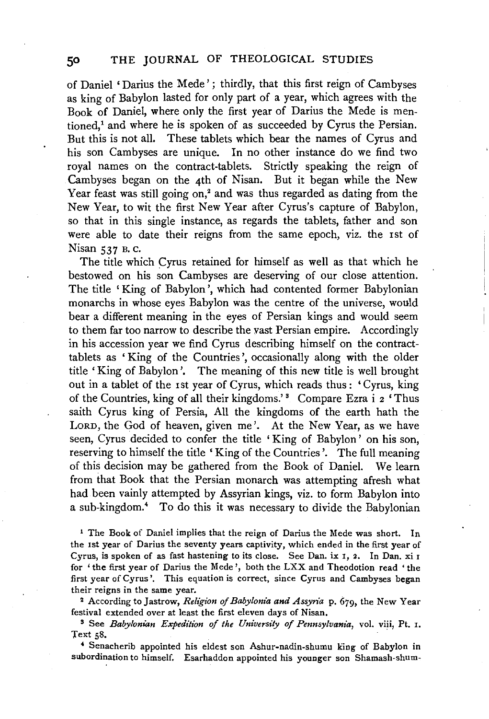of Daniel 'Darius the Mede'; thirdly, that this first reign of Cambyses as king of Babylon lasted for only part of a year, which agrees with the Book of Daniel, where only the first year of Darius the Mede is mentioned,<sup>1</sup> and where he is spoken of as succeeded by Cyrus the Persian. But this is not all. These tablets which bear the names of Cyrus and his son Cambyses are unique. In no other instance do we find two royal names on the contract-tablets. Strictly speaking the reign of Cambyses began on the 4th of Nisan. But it began while the New Year feast was still going on,<sup>2</sup> and was thus regarded as dating from the New Year, to wit the first New Year after Cyrus's capture of Babylon, so that in this single instance, as regards the tablets, father and son were able to date their reigns from the same epoch, viz. the 1st of Nisan 537 B. c.

The title which Cyrus retained for himself as well as that which he bestowed on his son Cambyses are deserving of our close attention. The title 'King of Babylon', which had contented former Babylonian monarchs in whose eyes Babylon was the centre of the universe, would bear a different meaning in the eyes of Persian kings and would seem to them far too narrow to describe the vast Persian empire. Accordingly in his accession year we find Cyrus describing himself on the contracttablets as ' King of the Countries ', occasionally along with the older title 'King of Babylon'. The meaning of this new title is well brought out in a tablet of the 1st year of Cyrus, which reads thus: 'Cyrus, king of the Countries, king of all their kingdoms.'<sup>3</sup> Compare Ezra i 2 'Thus saith Cyrus king of Persia, All the kingdoms of the earth hath the LORD, the God of heaven, given me'. At the New Year, as we have seen, Cyrus decided to confer the title 'King of Babylon' on his son, reserving to himself the title 'King of the Countries'. The full meaning of this decision may be gathered from the Book of Daniel. We learn from that Book that the Persian monarch was attempting afresh what had been vainly attempted by Assyrian kings, viz. to form Babylon into a sub-kingdom.<sup>4</sup> To do this it was necessary to divide the Babylonian

<sup>1</sup> The Book of Daniel implies that the reign of Darius the Mede was short. In the 1st year of Darius the seventy years captivity, which ended in the first year of Cyrus, is spoken of as fast hastening to its close. See Dan. ix r, 2. In Dan. xi 1 for ' the first year of Darius the Mede ', both the LXX and Theodotion read ' the first year of Cyrus'. This equation is correct, since Cyrus and Cambyses began their reigns in the same year.

2 According to Jastrow, *Religion of Babylonia and Assyn'a* p. 679, the New Year

festival extended over at least the first eleven days of Nisan.<br><sup>3</sup> See *Babylonian Expedition of the University of Pennsylvania*, vol. viii, Pt. 1.<br>Text 58.

' Senacherib appointed his eldest son Ashur-nadin-shumu king of Babylon in subordination to himself. Esarhaddon appointed his younger son Shamash-shum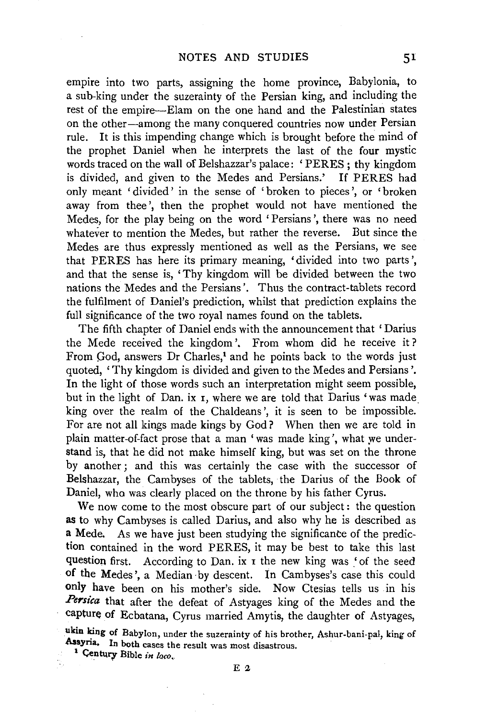empire into two parts, assigning the home province, Babylonia, to a sub-king under the suzerainty of the Persian king, and including the rest of the empire-Elam on the one hand and the Palestinian states on the other-among the many conquered countries now under Persian rule. It is this impending change which is brought before the mind of the prophet Daniel when he interprets the last of the four mystic words traced on the wall of Belshazzar's palace: ' PERES ; thy kingdom is divided, and given to the Medes and Persians.' If PERES had only meant 'divided' in the sense of 'broken to pieces', or 'broken away from thee', then the prophet would not have mentioned the Medes, for the play being on the word ' Persians ', there was no need whatever to mention the Medes, but rather the reverse. But since the Medes are thus expressly mentioned as well as the Persians, we see that PERES has here its primary meaning, 'divided into two parts', and that the sense is, 'Thy kingdom will be divided between the two nations the Medes and the Persians'. Thus the contract-tablets record the fulfilment of Daniel's prediction, whilst that prediction explains the full significance of the two royal names found on the tablets.

The fifth chapter of Daniel ends with the announcement that ' Darius the Mede received the kingdom'. From whom did he receive it? From God, answers Dr Charles,<sup>1</sup> and he points back to the words just quoted, 'Thy kingdom is divided and given to the Medes and Persians'. In the light of those words such an interpretation might seem possible, but in the light of Dan. ix 1, where we are told that Darius 'was made king over the realm of the Chaldeans ', it is seen to be impossible. For are not all kings made kings by God? When then we are told in plain matter-of-fact prose that a man 'was made king', what we understand is, that he did not make himself king, but was set on the throne by another; and this was certainly the case with the successor of Belshazzar, the Cambyses of the tablets, the Darius of the Book of Daniel, who was clearly placed on the throne by bis father Cyrus.

We now come to the most obscure part of our subject: the question as to why Cambyses is called Darius, and also why he is described as a Mede. As we have just been studying the significance of the prediction contained in the word PERES, it may be best to take this last question first. According to Dan. ix  $\tau$  the new king was 'of the seed of the Medes ', a Median by descent. In Cambyses's case this could only have been on his mother's side. Now Ctesias tells us in his *Persica* that after the defeat of Astyages king of the Medes and the capture of Ecbatana, Cyrus married Amytis, the daughter of Astyages,

ukin king of Babylon, under the suzerainty of his brother, Ashur-bani-pal, king of Assyria. In both cases the result was most disastrous. <sup>1</sup> Century Bible *in loco*.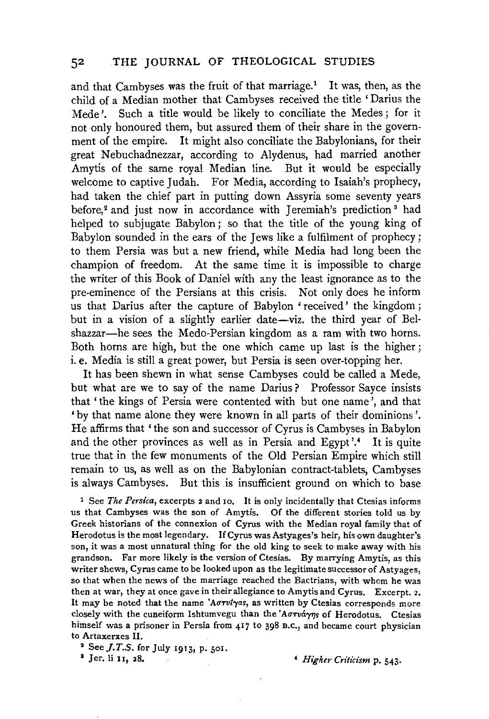and that Cambyses was the fruit of that marriage.<sup>1</sup> It was, then, as the child of a Median mother that Cambyses received the title 'Darius the Mede'. Such a title would be likely to conciliate the Medes; for it not only honoured them, but assured them of their share in the government of the empire. It might also conciliate the Babylonians, for their great Nebuchadnezzar, according to Alydenus, had married another Amytis of the same royal Median line. But it would be especially welcome to captive Judah. For Media, according to Isaiah's prophecy, had taken the chief part in putting down Assyria some seventy years before,<sup>2</sup> and just now in accordance with Jeremiah's prediction<sup>3</sup> had helped to subjugate Babylon; so that the title of the young king of Babylon sounded in the ears of the Jews like a fulfilment of prophecy; to them Persia was but a new friend, while Media had long been the champion of freedom. At the same time it is impossible to charge the writer of this Book of Daniel with any the least ignorance as to the pre-eminence of the Persians at this crisis. Not only does he inform us that Darius after the capture of Babylon 'received' the kingdom; but in a vision of a slightly earlier date-viz. the third year of Belshazzar-he sees the Medo-Persian kingdom as a ram with two horns. Both horns are high, but the one which came up last is the higher ; i. e. Media is still a great power, but Persia is seen over-topping her.

It has been shewn in what sense Cambyses could be called a Mede, but what are we to say of the name Darius? Professor Sayce insists that 'the kings of Persia were contented with but one name', and that ' by that name alone they were known in all parts of their dominions '. He affirms that 'the son and successor of Cyrus is Cambyses in Babylon and the other provinces as well as in Persia and Egypt'.<sup>4</sup> It is quite true that in the few monuments of the Old Persian Empire which still remain to us, as well as on the Babylonian contract-tablets, Cambyses is always Cambyses. But this is insufficient ground on which to base

<sup>1</sup> See *The Persica*, excerpts 2 and 10. It is only incidentally that Ctesias informs us that Cambyses was the son of Amytis. Of the different stories told us by Greek historians of the connexion of Cyrus with the Median royal family that of Herodotus is the most legendary. If Cyrus was Astyages's heir, his own daughter's son, it was a most unnatural thing for the old king to seek to make away with his grandson. Far more likely is the version of Ctesias. By marrying Amytis, as this writer shews, Cyrus came to be looked upon as the legitimate successor of Astyages, so that when the news of the marriage reached the Bactrians, with whom he was then at war, they at once gave in their allegiance to Amytis and Cyrus. Excerpt. 2. It may be noted that the name 'Aorviyas, as written by Ctesias corresponds more closely with the cuneiform Ishtumvegu than the 'Aorvayns of Herodotus. Ctesias himself was a prisoner in Persia from 417 to 398 B.c., and became court physician to Artaxerxes II.

<sup>3</sup> See *J.T.S.* for July 1913, p. 501.

 $^3$  Jer. Ii 11, 28.  $^4$  *Higher Criticism p.* 543.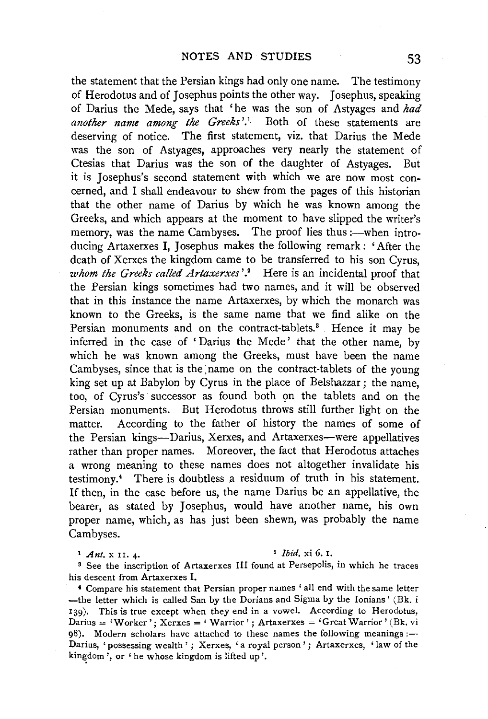the statement that the Persian kings had only one name. The testimony of Herodotus and of Josephus points the other way. Josephus, speaking of Darius the Mede, says that 'he was the son of Astyages and *had another name among the Greeks'.*<sup>1</sup> Both of these statements are deserving of notice. The first statement, viz. that Darius the Mede was the son of Astyages, approaches very nearly the statement of Ctesias that Darius was the son of the daughter of Astyages. But it is Josephus's second statement with which we are now most concerned, and I shall endeavour to shew from the pages of this historian that the other name of Darius by which he was known among the Greeks, and which appears at the moment to have slipped the writer's memory, was the name Cambyses. The proof lies thus :—when introducing Artaxerxes I, Josephus makes the following remark : 'After the death of Xerxes the kingdom came to be transferred to his son Cyrus, *whom the Greeks called Artaxerxes* '.2 Here is an incidental proof that the Persian kings sometimes had two names, and it will be observed that in this instance the name Artaxerxes, by which the monarch was known to the Greeks, is the same name that we find alike on the Persian monuments and on the contract-tablets.<sup>8</sup> Hence it may be inferred in the case of 'Darius the Mede' that the other name, by which he was known among the Greeks, must have been the name Cambyses, since that is the, name on the contract-tablets of the young king set up at Babylon by Cyrus in the place of Belshazzar; the name, too, of Cyrus's successor as found both on the tablets and on the Persian monuments. But Herodotus throws still further light on the matter. According to the father of history the names of some of the Persian kings-Darius, Xerxes, and Artaxerxes-were appellatives rather than proper names. Moreover, the fact that Herodotus attaches a wrong meaning to these names does not altogether invalidate his testimony. 4 There is doubtless a residuum of truth in his statement. If then, in the case before us, the name Darius be an appellative, the bearer, as stated by Josephus, would have another name, his own proper name, which, as has just been shewn, was probably the name Cambyses.

<sup>1</sup>*Ant.* x rr. 4. 2 *Ibid,* xi 6. r.

s See the inscription of Artaxerxes III found at Persepolis, in which he traces his descent from Artaxerxes I.

' Compare his statement that Persian proper names ' all end with the same letter -the letter which is called San by the Dorians and Sigma by the Ionians' (Bk. i 139). This is true except when they end in a vowel. According to Herodotus, Darius = 'Worker'; Xerxes = 'Warrior'; Artaxerxes = 'Great Warrior' (Bk. vi  $98$ . Modern scholars have attached to these names the following meanings:-Darius, 'possessing wealth'; Xerxes, 'a royal person'; Artaxerxes, 'law of the kingdom ', or ' he whose kingdom is lifted up'.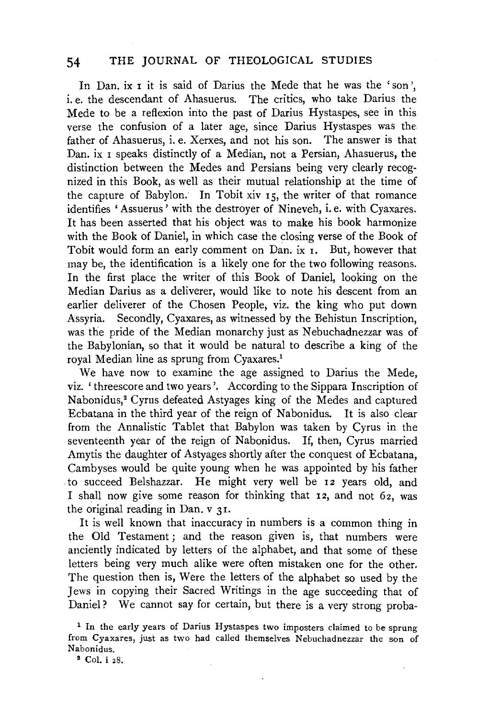### 54 THE JOURNAL OF THEOLOGICAL STUDIES

In Dan. ix 1 it is said of Darius the Mede that he was the 'son', i. e. the descendant of Ahasuerus. The critics, who take Darius the Mede to be a reflexion into the past of Darius Hystaspes, see in this verse the confusion of a later age, since Darius Hystaspes was the father of Ahasuerus, i. e. Xerxes, and not his son. The answer is that Dan. ix 1 speaks distinctly of a Median, not a Persian, Ahasuerus, the distinction between the Medes and Persians being very clearly recognized in this Book, as well as their mutual relationship at the time of the capture of Babylon. In Tobit xiv 15, the writer of that romance identifies 'Assuerus' with the destroyer of Nineveh, i. e. with Cyaxares. It has been asserted that his object was to make his book harmonize with the Book of Daniel, in which case the closing verse of the Book of Tobit would form an early comment on Dan. ix 1. But, however that may be, the identification is a likely one for the two following reasons. In the first place the writer of this Book of Daniel, looking on the Median Darius as a deliverer, would like to note his descent from an earlier deliverer of the Chosen People, viz. the king who put down Assyria. Secondly, Cyaxares, as witnessed by the Behistun Inscription, was the pride of the Median monarchy just as Nebuchadnezzar was of the Babylonian, so that it would be natural to describe a king of the royal Median line as sprung from Cyaxares.1

We have now to examine the age assigned to Darius the Mede, viz. 'threescore and two years'. According to the Sippara Inscription of Nabonidus,<sup>2</sup> Cyrus defeated Astyages king of the Medes and captured Ecbatana in the third year of the reign of Nabonidus. It is also clear from the Annalistic Tablet that Babylon was taken by Cyrus in the seventeenth year of the reign of Nabonidus. If, then, Cyrus married Amytis the daughter of Astyages shortly after the conquest of Ecbatana, Cambyses would be quite young when he was appointed by his father . to succeed Belshazzar. He might very well be 12 years old, and I shall now give some reason for thinking that 12, and not 62, was the original reading in Dan. v 31.

It is well known that inaccuracy in numbers is a common thing in the Old Testament; and the reason given is, that numbers were anciently indicated by letters of the alphabet, and that some of these letters being very much alike were often mistaken one for the other. The question then is, Were the letters of the alphabet so used by the Jews in copying their Sacred Writings in the age succeeding that of Daniel? We cannot say for certain, but there is a very strong proba-

<sup>&</sup>lt;sup>1</sup> In the early years of Darius Hystaspes two imposters claimed to be sprung from Cyaxares, just as two had called themselves Nebuchadnezzar the son of Nabonidus.<br> $2 \text{Col. i } 28.$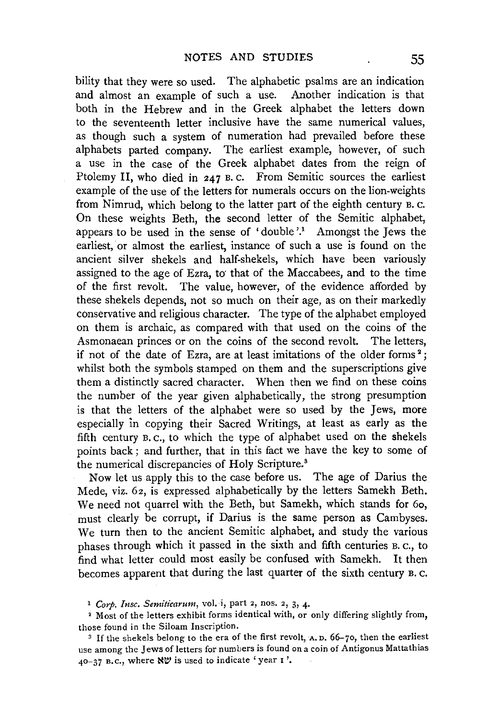bility that they were so used. The alphabetic psalms are an indication and almost an example of such a use. Another indication is that both in the Hebrew and in the Greek alphabet the letters down to the seventeenth letter inclusive have the same numerical values, as though such a system of numeration had prevailed before these alphabets parted company. The earliest example, however, of such a use in the case of the Greek alphabet dates from the reign of Ptolemy II, who died in 247 B.C. From Semitic sources the earliest example of the use of the letters for numerals occurs on the lion-weights from Nimrud, which belong to the latter part of the eighth century B. c. On these weights Beth, the second letter of the Semitic alphabet, appears to be used in the sense of 'double '.1 Amongst the Jews the earliest, or almost the earliest, instance of such a use is found on the ancient silver shekels and half-shekels, which have been variously assigned to the age of Ezra, to that of the Maccabees, and to the time of the first revolt. The value, however, of the evidence afforded by these shekels depends, not so much on their age, as on their markedly conservative and religious character. The type of the alphabet employed on them is archaic, as compared with that used on the coins of the Asmonaean princes or on the coins of the second revolt. The letters, if not of the date of Ezra, are at least imitations of the older forms<sup>2</sup>; whilst both the symbols stamped on them and the superscriptions give them a distinctly sacred character. When then we find on these coins the number of the year given alphabetically, the strong presumption is that the letters of the alphabet were so used by the Jews, more especially in copying their Sacred Writings, at least as early as the fifth century B. c., to which the type of alphabet used on the shekels points back ; and further, that in this fact we have the key to some of the numerical discrepancies of Holy Scripture. 3

Now let us apply this to the case before us. The age of Darius the Mede, viz. 62, is expressed alphabetically by the letters Samekh Beth. We need not quarrel with the Beth, but Samekh, which stands for 60, must clearly be corrupt, if Darius is the same person as Cambyses. We turn then to the ancient Semitic alphabet, and study the various phases through which it passed in the sixth and fifth centuries B. c., to find what letter could most easily be confused with Samekh. It then becomes apparent that during the last quarter of the sixth century B. c.

<sup>I</sup>*Corp. Insc. Semiticarum,* vol. i, part 2, nos. 2, 3, 4.

• Most of the letters exhibit forms identical with, or only differing slightly from, those found in the Siloam Inscription.

<sup>3</sup>If the shekels belong to the era of the first revolt, A. D. 66-70, then the earliest use among the Jews of letters for numbers is found on a coin of Antigonus Mattathias  $40-37$  B.C., where  $N\mathcal{V}$  is used to indicate 'year 1'.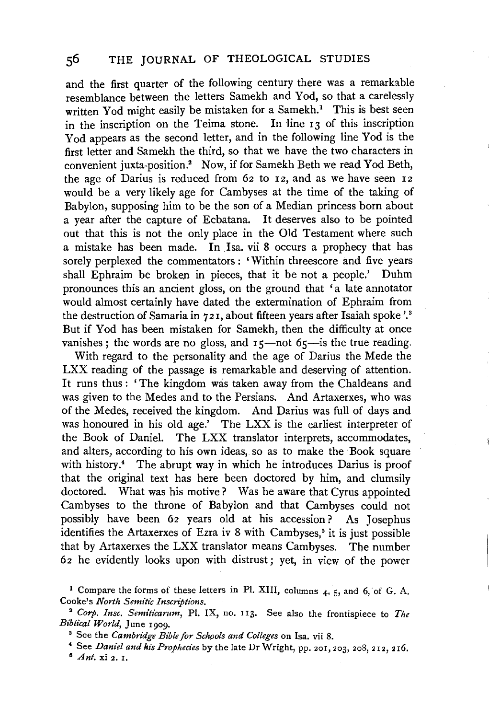and the first quarter of the following century there was a remarkable resemblance between the letters Samekh and Yod, so that a carelessly written Yod might easily be mistaken for a Samekh.<sup>1</sup> This is best seen in the inscription on the Teima stone. In line 13 of this inscription Yod appears as the second letter, and in the following line Yod is the first letter and Samekh the third, so that we have the two characters in convenient juxta-position.2 Now, if for Samekh Beth we read Yod Beth, the age of Darius is reduced from 62 to 12, and as we have seen 12 would be a very likely age for Cambyses at the time of the taking of Babylon, supposing him to be the son of a Median princess born about a year after the capture of Ecbatana. It deserves also to be pointed out that this is not the only place in the Old Testament where such a mistake has been made. In Isa. vii 8 occurs a prophecy that has sorely perplexed the commentators: 'Within threescore and five years shall Ephraim be broken in pieces, that it be not a people.' Duhm pronounces this an ancient gloss, on the ground that 'a late annotator would almost certainly have dated the extermination of Ephraim from the destruction of Samaria in 721, about fifteen years after Isaiah spoke '.<sup>3</sup> But if Yod has been mistaken for Samekh, then the difficulty at once vanishes; the words are no gloss, and  $15$ —not  $65$ —is the true reading.

With regard to the personality and the age of Darius the Mede the LXX reading of the passage is remarkable and deserving of attention. It runs thus: 'The kingdom was taken away from the Chaldeans and was given to the Medes and to the Persians. And Artaxerxes, who was of the Medes, received the kingdom. And Darius was full of days and was honoured in his old age.<sup>7</sup> The LXX is the earliest interpreter of the Book of Daniel. The LXX translator interprets, accommodates, and alters, according to his own ideas, so as to make the Book square with history.<sup>4</sup> The abrupt way in which he introduces Darius is proof that the original text has here been doctored by him, and clumsily doctored. What was his motive? Was he aware that Cyrus appointed Cambyses to the throne of Babylon and that Cambyses could not possibly have been 62 years old at his accession? As Josephus identifies the Artaxerxes of Ezra iv 8 with Cambyses,<sup>5</sup> it is just possible that by Artaxerxes the LXX translator means Cambyses. The number 62 he evidently looks upon with distrust; yet, in view of the power

<sup>&</sup>lt;sup>1</sup> Compare the forms of these letters in Pl. XIII, columns 4, 5, and 6, of G. A. Cooke's *North Semitic Inscriptions.* 

<sup>•</sup> *Corp. Insc. Semiticarum,* Pl. IX, no. 113. See also the frontispiece to *The Biblical World, June 1909.*<br><sup>3</sup> See the *Cambridge Bible for Schools and Colleges* on Isa. vii 8.<br><sup>4</sup> See *Daniel and his Prophecies* by the late Dr Wright, pp. 201, 203, 208, 212, 216.

<sup>5</sup> *Ant.* xi 2. 1.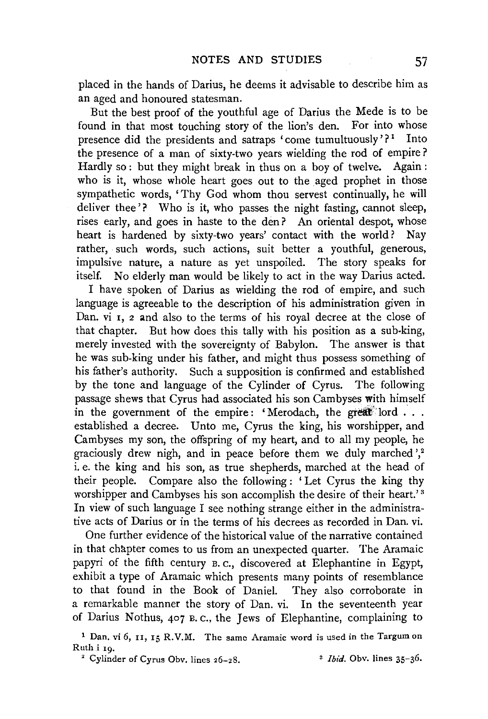placed in the hands of Darius, he deems it advisable to describe him as an aged and honoured statesman.

But the best proof of the youthful age of Darius the Mede is to be found in that most touching story of the lion's den. For into whose presence did the presidents and satraps 'come tumultuously'?<sup>1</sup> Into the presence of a man of sixty-two years wielding the rod of empire ? Hardly so : but they might break in thus on a boy of twelve. Again : who is it, whose whole heart goes out to the aged prophet in those sympathetic words, 'Thy God whom thou servest continually, he will deliver thee'? Who is it, who passes the night fasting, cannot sleep, rises early, and goes in haste to the den? An oriental despot, whose heart is hardened by sixty-two years' contact with the world? Nay rather, such words, such actions, suit better a youthful, generous, impulsive nature, a nature as yet unspoiled. The story speaks for itself. No elderly man would be likely to act in the way Darius acted.

I have spoken of Darius as wielding the rod of empire, and such language is agreeable to the description of his administration given in Dan. vi I, 2 and also to the terms of his royal decree at the close of that chapter. But how does this tally with his position as a sub-king, merely invested with the sovereignty of Babylon. The answer is that he was sub-king under his father, and might thus possess something of his father's authority. Such a supposition is confirmed and established by the tone and language of the Cylinder of Cyrus. The following passage shews that Cyrus had associated his son Cambyses with himself in the government of the empire: 'Merodach, the great lord  $\ldots$ established a decree. Unto me, Cyrus the king, his worshipper, and Cambyses my son, the offspring of my heart, and to all my people, he graciously drew nigh, and in peace before them we duly marched ',<sup>2</sup> i. e. the king and his son, as true shepherds, marched at the head of their people. Compare also the following: 'Let Cyrus the king thy worshipper and Cambyses his son accomplish the desire of their heart.'<sup>3</sup> In view of such language I see nothing strange either in the administrative acts of Darius or in the terms of his decrees as recorded in Dan. vi.

One further evidence of the historical value of the narrative contained in that chapter comes to us from an unexpected quarter. The Aramaic papyri of the fifth century B. c., discovered at Elephantine in Egypt, exhibit a type of Aramaic which presents many points of resemblance to that found in the Book of Daniel. They also corroborate in a remarkable manner the story of Dan. vi. In the seventeenth year of Darius Nothus, 407 B. c., the Jews of Elephantine, complaining to

<sup>&</sup>lt;sup>1</sup> Dan. vi 6, II, I<sub>5</sub> R.V.M. The same Aramaic word is used in the Targum on Ruth i 19.<br><sup>2</sup> Cylinder of Cyrus Obv. lines 26-28.<br><sup>3</sup> *Ibid.* Obv. lines 35-36.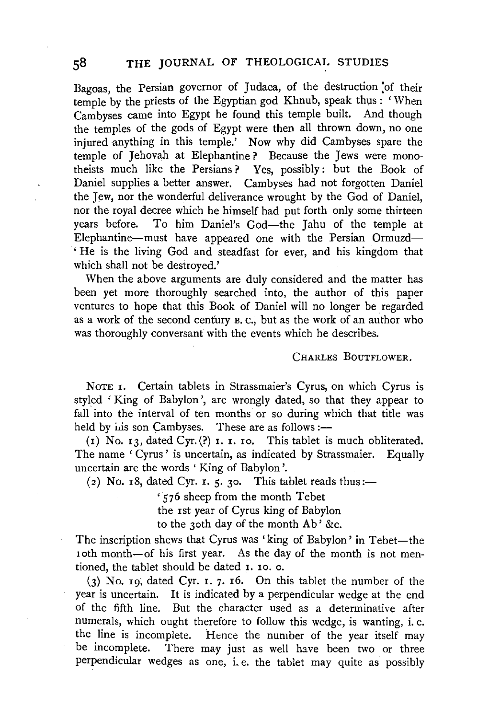Bagoas, the Persian governor of Judaea, of the destruction of their temple by the priests of the Egyptian god Khnub, speak thus : 'When Cambyses came into Egypt he found this temple built. And though the temples of the gods of Egypt were then all thrown down, no one injured anything in this temple.' Now why did Cambyses spare the temple of Jehovah at Elephantine? Because the Jews were monotheists much like the Persians? Yes, possibly: but the Book of Daniel supplies a better answer. Cambyses had not forgotten Daniel the Jew, nor the wonderful deliverance wrought by the God of Daniel, nor the royal decree which he himself had put forth only some thirteen years before. To him Daniel's God-the Jahu of the temple at Elephantine-must have appeared one with the Persian Ormuzd-' He is the living God and steadfast for ever, and his kingdom that which shall not be destroyed.'

When the above arguments are duly considered and the matter has been yet more thoroughly searched into, the author of this paper ventures to hope that this Book of Daniel will no longer be regarded as a work of the second century B. c., but as the work of an author who was thoroughly conversant with the events which he describes.

CHARLES BOUTFLOWER.

NOTE 1. Certain tablets in Strassmaier's Cyrus, on which Cyrus is styled ' King of Babylon', are wrongly dated, so that they appear to fall into the interval of ten months or so during which that title was held by ins son Cambyses. These are as follows :-

(1) No. 13, dated Cyr. (?) 1. 1. 10. This tablet is much obliterated. The name ' Cyrus' is uncertain, as indicated by Strassmaier. Equally uncertain are the words 'King of Babylon'.

(2) No. 18, dated Cyr. r. 5. 30. This tablet reads thus: $\cdots$ 

' 576 sheep from the month Tebet

the 1st year of Cyrus king of Babylon

to the 3oth day of the month Ab' &c.

The inscription shews that Cyrus was 'king of Babylon' in Tebet-the 1 oth month-of his first year. As the day of the month is not mentioned, the tablet should be dated 1. 10. o.

(3) No. 19; dated Cyr. I. 7. 16. On this tablet the number of the year is uncertain. It is indicated by a perpendicular wedge at the end of the fifth line. But the character used as a determinative after numerals, which ought therefore to follow this wedge, is wanting, i. e. the line is incomplete. Hence the number of the year itself may be incomplete. There may just as well have been two or three perpendicular wedges as one, i. e. the tablet may quite as possibly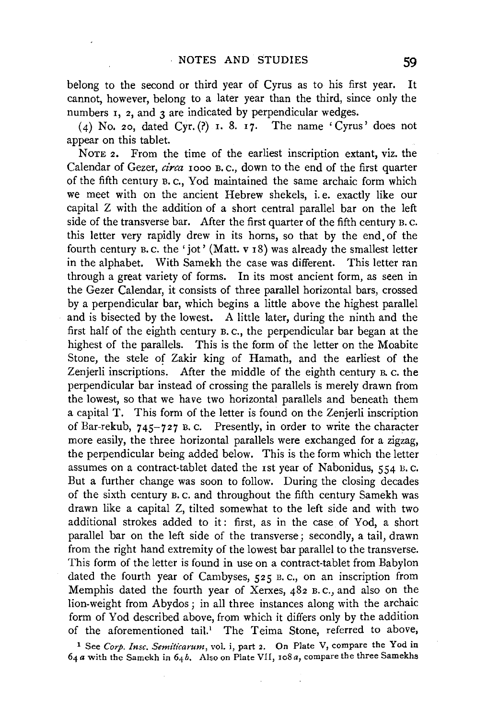belong to the second or third year of Cyrus as to his first year. It cannot, however, belong to a later year than the third, since only the numbers 1, 2, and 3 are indicated by perpendicular wedges.

(4) No. 20, dated Cyr.(?)  $\overline{1}$ . 8.  $\overline{17}$ . The name 'Cyrus' does not appear on this tablet.

NoTE 2. From the time of the earliest inscription extant, viz. the Calendar of Gezer, *circa* 1000 B. c., down to the end of the first quarter of the fifth century B. c., Yod maintained the same archaic form which we meet with on the ancient Hebrew shekels, i.e. exactly like our capital Z with the addition of a short central parallel bar on the left side of the transverse bar. After the first quarter of the fifth century B. c. this letter very rapidly drew in its horns, so that by the end, of the fourth century B. c. the 'jot' (Matt. v 18) was already the smallest letter in the alphabet. With Samekh the case was different. This letter ran through a great variety of forms. In its most ancient form, as seen in the Gezer Calendar, it consists of three parallel horizontal bars, crossed by a perpendicular bar, which begins a little above the highest parallel and is bisected by the lowest. A little later, during the ninth and the first half of the eighth century B. c., the perpendicular bar began at the highest of the parallels. This is the form of the letter on the Moabite Stone, the stele of Zakir king of Hamath, and the earliest of the Zenjerli inscriptions. After the middle of the eighth century B. c. the perpendicular bar instead of crossing the parallels is merely drawn from the lowest, so that we have two horizontal parallels and beneath them a capital T. This form of the letter is found on the Zenjerli inscription of Bar-rekub, 745-727 B. c. Presently, in order to write the character more easily, the three horizontal parallels were exchanged for a zigzag, the perpendicular being added below. This is the form which the letter assumes on a contract-tablet dated the 1st year of Nabonidus, 554 B. c. But a further change was soon to follow. During the closing decades of the sixth century B. c. and throughout the fifth century Samekh was drawn like a capital Z, tilted somewhat to the left side and with two additional strokes added to it: first, as in the case of Yod, a short parallel bar on the left side of the transverse; secondly, a tail, drawn from the right hand extremity of the lowest bar parallel to the transverse. This form of the letter is found in use on a contract-tablet from Babylon dated the fourth year of Cambyses, 525 B. c., on an inscription from Memphis dated the fourth year of Xerxes, 482 B. c., and also on the lion-weight from Abydos; in all three instances along with the archaic form of Yod described above, from which it differs only by the addition of the aforementioned tail.<sup>1</sup> The Teima Stone, referred to above,

1 See *Corp. lnsc. Semiticarum,* vol. i, part 2. On Plate V, compare the Yod in 64 *a* with the Samekh in 64b. Also on Plate VII, 108 *a,* compare the three Samekhs